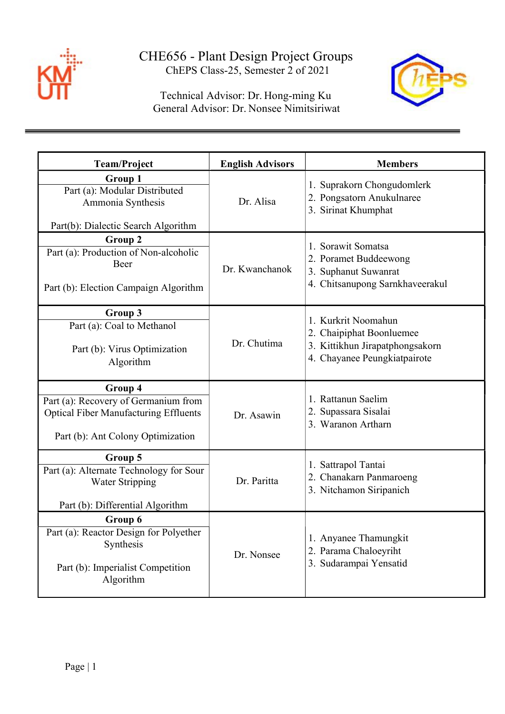

 Technical Advisor: Dr. Hong-ming Ku General Advisor: Dr. Nonsee Nimitsiriwat



| <b>Team/Project</b>                                                                                                                  | <b>English Advisors</b> | <b>Members</b>                                                                                                     |
|--------------------------------------------------------------------------------------------------------------------------------------|-------------------------|--------------------------------------------------------------------------------------------------------------------|
| Group 1<br>Part (a): Modular Distributed<br>Ammonia Synthesis<br>Part(b): Dialectic Search Algorithm                                 | Dr. Alisa               | 1. Suprakorn Chongudomlerk<br>2. Pongsatorn Anukulnaree<br>3. Sirinat Khumphat                                     |
| Group 2<br>Part (a): Production of Non-alcoholic<br>Beer<br>Part (b): Election Campaign Algorithm                                    | Dr. Kwanchanok          | 1. Sorawit Somatsa<br>2. Poramet Buddeewong<br>3. Suphanut Suwanrat<br>4. Chitsanupong Sarnkhaveerakul             |
| Group 3<br>Part (a): Coal to Methanol<br>Part (b): Virus Optimization<br>Algorithm                                                   | Dr. Chutima             | 1. Kurkrit Noomahun<br>2. Chaipiphat Boonluemee<br>3. Kittikhun Jirapatphongsakorn<br>4. Chayanee Peungkiatpairote |
| Group 4<br>Part (a): Recovery of Germanium from<br><b>Optical Fiber Manufacturing Effluents</b><br>Part (b): Ant Colony Optimization | Dr. Asawin              | 1. Rattanun Saelim<br>2. Supassara Sisalai<br>3. Waranon Artharn                                                   |
| Group 5<br>Part (a): Alternate Technology for Sour<br><b>Water Stripping</b><br>Part (b): Differential Algorithm                     | Dr. Paritta             | 1. Sattrapol Tantai<br>2. Chanakarn Panmaroeng<br>3. Nitchamon Siripanich                                          |
| Group 6<br>Part (a): Reactor Design for Polyether<br>Synthesis<br>Part (b): Imperialist Competition<br>Algorithm                     | Dr. Nonsee              | 1. Anyanee Thamungkit<br>2. Parama Chaloeyriht<br>3. Sudarampai Yensatid                                           |